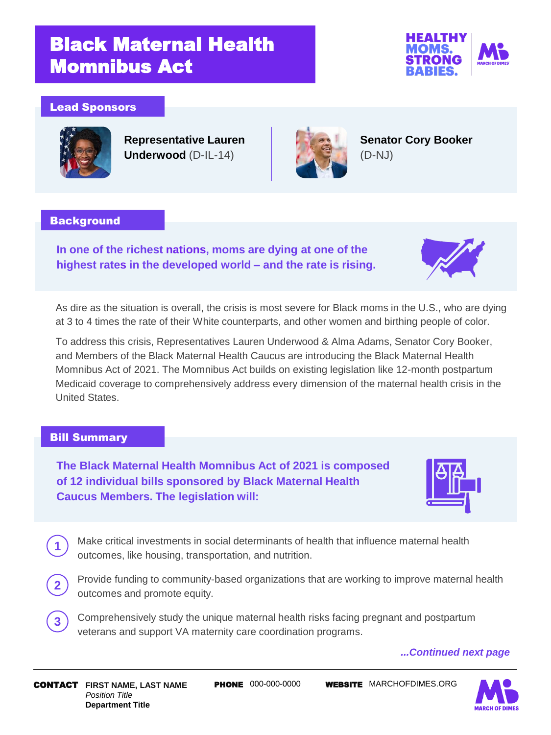# Black Maternal Health Momnibus Act



## Lead Sponsors



**Representative Lauren Underwood** (D-IL-14)



**Senator Cory Booker**  (D-NJ)

### **Background**

**In one of the richest nations, moms are dying at one of the highest rates in the developed world – and the rate is rising.** 



As dire as the situation is overall, the crisis is most severe for Black moms in the U.S., who are dying at 3 to 4 times the rate of their White counterparts, and other women and birthing people of color.

To address this crisis, Representatives Lauren Underwood & Alma Adams, Senator Cory Booker, and Members of the Black Maternal Health Caucus are introducing the Black Maternal Health Momnibus Act of 2021. The Momnibus Act builds on existing legislation like 12-month postpartum Medicaid coverage to comprehensively address every dimension of the maternal health crisis in the United States.

## Bill Summary

**1**

**2**

**The Black Maternal Health Momnibus Act of 2021 is composed of 12 individual bills sponsored by Black Maternal Health Caucus Members. The legislation will:** 



Make critical investments in social determinants of health that influence maternal health outcomes, like housing, transportation, and nutrition.

- 2. Provide funding to community-based organizations that are working to improve maternal health outcomes and promote equity.
- Comprehensively study the unique maternal health risks facing pregnant and postpartum veterans and support VA maternity care coordination programs. **3**

### *...Continued next page*